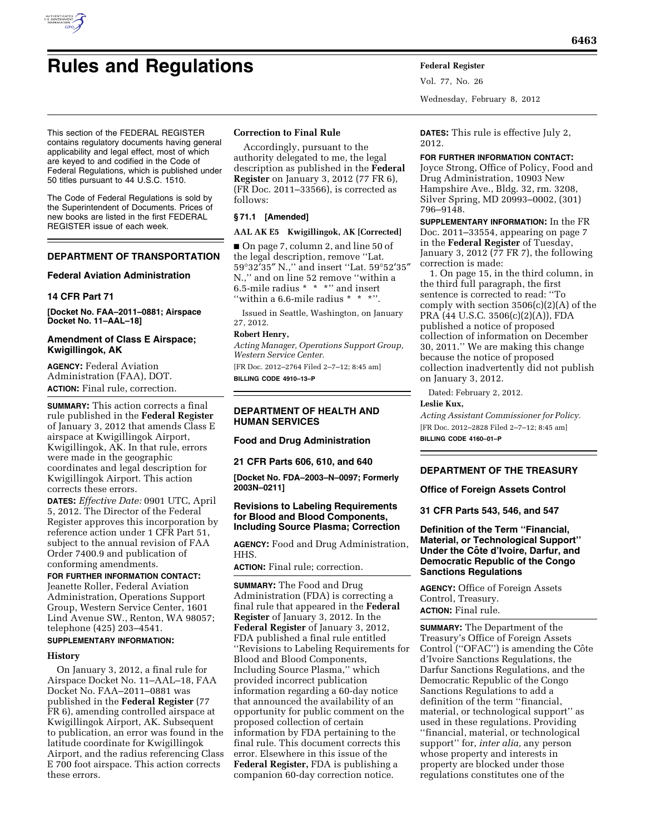

This section of the FEDERAL REGISTER contains regulatory documents having general applicability and legal effect, most of which are keyed to and codified in the Code of Federal Regulations, which is published under 50 titles pursuant to 44 U.S.C. 1510.

The Code of Federal Regulations is sold by the Superintendent of Documents. Prices of new books are listed in the first FEDERAL REGISTER issue of each week.

### **DEPARTMENT OF TRANSPORTATION**

#### **Federal Aviation Administration**

#### **14 CFR Part 71**

**[Docket No. FAA–2011–0881; Airspace Docket No. 11–AAL–18]** 

### **Amendment of Class E Airspace; Kwigillingok, AK**

**AGENCY:** Federal Aviation Administration (FAA), DOT. **ACTION:** Final rule, correction.

**SUMMARY:** This action corrects a final rule published in the **Federal Register**  of January 3, 2012 that amends Class E airspace at Kwigillingok Airport, Kwigillingok, AK. In that rule, errors were made in the geographic coordinates and legal description for Kwigillingok Airport. This action corrects these errors.

**DATES:** *Effective Date:* 0901 UTC, April 5, 2012. The Director of the Federal Register approves this incorporation by reference action under 1 CFR Part 51, subject to the annual revision of FAA Order 7400.9 and publication of conforming amendments.

**FOR FURTHER INFORMATION CONTACT:**  Jeanette Roller, Federal Aviation Administration, Operations Support Group, Western Service Center, 1601 Lind Avenue SW., Renton, WA 98057; telephone (425) 203–4541.

# **SUPPLEMENTARY INFORMATION:**

# **History**

On January 3, 2012, a final rule for Airspace Docket No. 11–AAL–18, FAA Docket No. FAA–2011–0881 was published in the **Federal Register** (77 FR 6), amending controlled airspace at Kwigillingok Airport, AK. Subsequent to publication, an error was found in the latitude coordinate for Kwigillingok Airport, and the radius referencing Class E 700 foot airspace. This action corrects these errors.

#### **Correction to Final Rule**

Accordingly, pursuant to the authority delegated to me, the legal description as published in the **Federal Register** on January 3, 2012 (77 FR 6), (FR Doc. 2011–33566), is corrected as follows:

#### **§ 71.1 [Amended]**

#### **AAL AK E5 Kwigillingok, AK [Corrected]**

■ On page 7, column 2, and line 50 of the legal description, remove ''Lat. 59°32′35″ N.,'' and insert ''Lat. 59°52′35″ N.,'' and on line 52 remove ''within a 6.5-mile radius \* \* \*'' and insert "within a 6.6-mile radius \* \* \*".

Issued in Seattle, Washington, on January 27, 2012.

### **Robert Henry,**

*Acting Manager, Operations Support Group, Western Service Center.* 

[FR Doc. 2012–2764 Filed 2–7–12; 8:45 am] **BILLING CODE 4910–13–P** 

# **DEPARTMENT OF HEALTH AND HUMAN SERVICES**

#### **Food and Drug Administration**

**21 CFR Parts 606, 610, and 640** 

**[Docket No. FDA–2003–N–0097; Formerly 2003N–0211]** 

### **Revisions to Labeling Requirements for Blood and Blood Components, Including Source Plasma; Correction**

**AGENCY:** Food and Drug Administration, HHS.

**ACTION:** Final rule; correction.

**SUMMARY:** The Food and Drug Administration (FDA) is correcting a final rule that appeared in the **Federal Register** of January 3, 2012. In the **Federal Register** of January 3, 2012, FDA published a final rule entitled ''Revisions to Labeling Requirements for Blood and Blood Components, Including Source Plasma,'' which provided incorrect publication information regarding a 60-day notice that announced the availability of an opportunity for public comment on the proposed collection of certain information by FDA pertaining to the final rule. This document corrects this error. Elsewhere in this issue of the **Federal Register,** FDA is publishing a companion 60-day correction notice.

**DATES:** This rule is effective July 2, 2012.

Wednesday, February 8, 2012

Vol. 77, No. 26

**FOR FURTHER INFORMATION CONTACT:**  Joyce Strong, Office of Policy, Food and Drug Administration, 10903 New Hampshire Ave., Bldg. 32, rm. 3208, Silver Spring, MD 20993–0002, (301) 796–9148.

**SUPPLEMENTARY INFORMATION:** In the FR Doc. 2011–33554, appearing on page 7 in the **Federal Register** of Tuesday, January 3, 2012 (77 FR 7), the following correction is made:

1. On page 15, in the third column, in the third full paragraph, the first sentence is corrected to read: ''To comply with section  $3506(c)(2)(A)$  of the PRA (44 U.S.C. 3506(c)(2)(A)), FDA published a notice of proposed collection of information on December 30, 2011.'' We are making this change because the notice of proposed collection inadvertently did not publish on January 3, 2012.

Dated: February 2, 2012.

### **Leslie Kux,**

*Acting Assistant Commissioner for Policy.*  [FR Doc. 2012–2828 Filed 2–7–12; 8:45 am] **BILLING CODE 4160–01–P** 

### **DEPARTMENT OF THE TREASURY**

**Office of Foreign Assets Control** 

**31 CFR Parts 543, 546, and 547** 

### **Definition of the Term ''Financial, Material, or Technological Support'' Under the Coˆte d'Ivoire, Darfur, and Democratic Republic of the Congo Sanctions Regulations**

**AGENCY:** Office of Foreign Assets Control, Treasury. **ACTION:** Final rule.

**SUMMARY:** The Department of the Treasury's Office of Foreign Assets Control ("OFAC") is amending the Côte d'Ivoire Sanctions Regulations, the Darfur Sanctions Regulations, and the Democratic Republic of the Congo Sanctions Regulations to add a definition of the term ''financial, material, or technological support'' as used in these regulations. Providing ''financial, material, or technological support'' for, *inter alia,* any person whose property and interests in property are blocked under those regulations constitutes one of the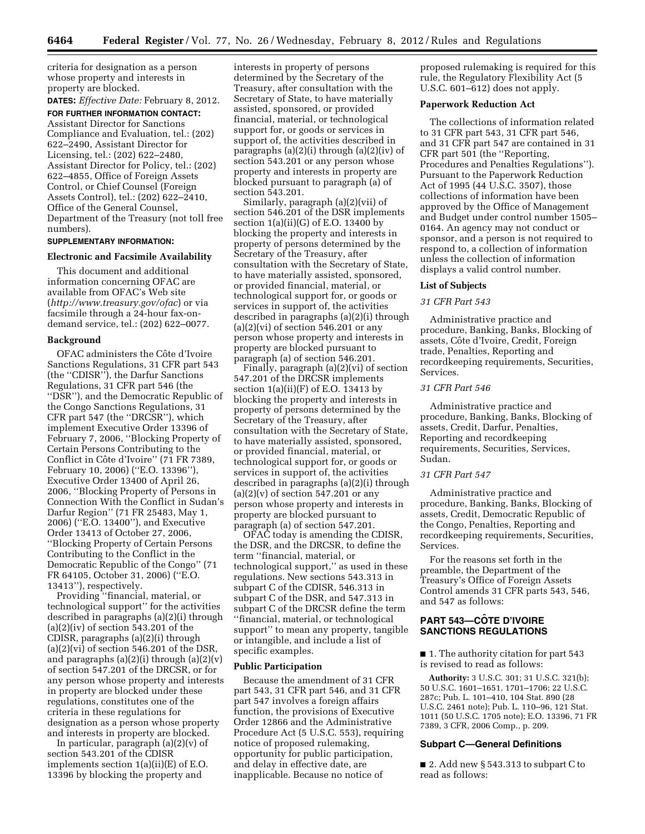criteria for designation as a person whose property and interests in property are blocked.

### **DATES:** *Effective Date:* February 8, 2012. **FOR FURTHER INFORMATION CONTACT:**

Assistant Director for Sanctions Compliance and Evaluation, tel.: (202) 622–2490, Assistant Director for Licensing, tel.: (202) 622–2480, Assistant Director for Policy, tel.: (202) 622–4855, Office of Foreign Assets Control, or Chief Counsel (Foreign Assets Control), tel.: (202) 622–2410, Office of the General Counsel, Department of the Treasury (not toll free numbers).

### **SUPPLEMENTARY INFORMATION:**

#### **Electronic and Facsimile Availability**

This document and additional information concerning OFAC are available from OFAC's Web site (*<http://www.treasury.gov/ofac>*) or via facsimile through a 24-hour fax-ondemand service, tel.: (202) 622–0077.

### **Background**

OFAC administers the Côte d'Ivoire Sanctions Regulations, 31 CFR part 543 (the ''CDISR''), the Darfur Sanctions Regulations, 31 CFR part 546 (the ''DSR''), and the Democratic Republic of the Congo Sanctions Regulations, 31 CFR part 547 (the ''DRCSR''), which implement Executive Order 13396 of February 7, 2006, ''Blocking Property of Certain Persons Contributing to the Conflict in Côte d'Ivoire" (71 FR 7389, February 10, 2006) (''E.O. 13396''), Executive Order 13400 of April 26, 2006, ''Blocking Property of Persons in Connection With the Conflict in Sudan's Darfur Region'' (71 FR 25483, May 1, 2006) (''E.O. 13400''), and Executive Order 13413 of October 27, 2006, ''Blocking Property of Certain Persons Contributing to the Conflict in the Democratic Republic of the Congo'' (71 FR 64105, October 31, 2006) (''E.O. 13413''), respectively.

Providing ''financial, material, or technological support'' for the activities described in paragraphs (a)(2)(i) through  $(a)(2)(iv)$  of section 543.201 of the CDISR, paragraphs (a)(2)(i) through  $(a)(2)(vi)$  of section 546.201 of the DSR, and paragraphs  $(a)(2)(i)$  through  $(a)(2)(v)$ of section 547.201 of the DRCSR, or for any person whose property and interests in property are blocked under these regulations, constitutes one of the criteria in these regulations for designation as a person whose property and interests in property are blocked.

In particular, paragraph (a)(2)(v) of section 543.201 of the CDISR implements section 1(a)(ii)(E) of E.O. 13396 by blocking the property and

interests in property of persons determined by the Secretary of the Treasury, after consultation with the Secretary of State, to have materially assisted, sponsored, or provided financial, material, or technological support for, or goods or services in support of, the activities described in paragraphs (a)(2)(i) through (a)(2)(iv) of section 543.201 or any person whose property and interests in property are blocked pursuant to paragraph (a) of section 543.201.

Similarly, paragraph (a)(2)(vii) of section 546.201 of the DSR implements section 1(a)(ii)(G) of E.O. 13400 by blocking the property and interests in property of persons determined by the Secretary of the Treasury, after consultation with the Secretary of State, to have materially assisted, sponsored, or provided financial, material, or technological support for, or goods or services in support of, the activities described in paragraphs (a)(2)(i) through  $(a)(2)(vi)$  of section 546.201 or any person whose property and interests in property are blocked pursuant to paragraph (a) of section 546.201.

Finally, paragraph (a)(2)(vi) of section 547.201 of the DRCSR implements section  $1(a)(ii)(F)$  of E.O. 13413 by blocking the property and interests in property of persons determined by the Secretary of the Treasury, after consultation with the Secretary of State, to have materially assisted, sponsored, or provided financial, material, or technological support for, or goods or services in support of, the activities described in paragraphs (a)(2)(i) through  $(a)(2)(v)$  of section 547.201 or any person whose property and interests in property are blocked pursuant to paragraph (a) of section 547.201.

OFAC today is amending the CDISR, the DSR, and the DRCSR, to define the term ''financial, material, or technological support,'' as used in these regulations. New sections 543.313 in subpart C of the CDISR, 546.313 in subpart C of the DSR, and 547.313 in subpart C of the DRCSR define the term ''financial, material, or technological support'' to mean any property, tangible or intangible, and include a list of specific examples.

### **Public Participation**

Because the amendment of 31 CFR part 543, 31 CFR part 546, and 31 CFR part 547 involves a foreign affairs function, the provisions of Executive Order 12866 and the Administrative Procedure Act (5 U.S.C. 553), requiring notice of proposed rulemaking, opportunity for public participation, and delay in effective date, are inapplicable. Because no notice of

proposed rulemaking is required for this rule, the Regulatory Flexibility Act (5 U.S.C. 601–612) does not apply.

### **Paperwork Reduction Act**

The collections of information related to 31 CFR part 543, 31 CFR part 546, and 31 CFR part 547 are contained in 31 CFR part 501 (the ''Reporting, Procedures and Penalties Regulations''). Pursuant to the Paperwork Reduction Act of 1995 (44 U.S.C. 3507), those collections of information have been approved by the Office of Management and Budget under control number 1505– 0164. An agency may not conduct or sponsor, and a person is not required to respond to, a collection of information unless the collection of information displays a valid control number.

#### **List of Subjects**

#### *31 CFR Part 543*

Administrative practice and procedure, Banking, Banks, Blocking of assets, Côte d'Ivoire, Credit, Foreign trade, Penalties, Reporting and recordkeeping requirements, Securities, Services.

### *31 CFR Part 546*

Administrative practice and procedure, Banking, Banks, Blocking of assets, Credit, Darfur, Penalties, Reporting and recordkeeping requirements, Securities, Services, Sudan.

### *31 CFR Part 547*

Administrative practice and procedure, Banking, Banks, Blocking of assets, Credit, Democratic Republic of the Congo, Penalties, Reporting and recordkeeping requirements, Securities, Services.

For the reasons set forth in the preamble, the Department of the Treasury's Office of Foreign Assets Control amends 31 CFR parts 543, 546, and 547 as follows:

# **PART 543—CÔTE D'IVOIRE SANCTIONS REGULATIONS**

■ 1. The authority citation for part 543 is revised to read as follows:

**Authority:** 3 U.S.C. 301; 31 U.S.C. 321(b); 50 U.S.C. 1601–1651, 1701–1706; 22 U.S.C. 287c; Pub. L. 101–410, 104 Stat. 890 (28 U.S.C. 2461 note); Pub. L. 110–96, 121 Stat. 1011 (50 U.S.C. 1705 note); E.O. 13396, 71 FR 7389, 3 CFR, 2006 Comp., p. 209.

#### **Subpart C—General Definitions**

■ 2. Add new § 543.313 to subpart C to read as follows: